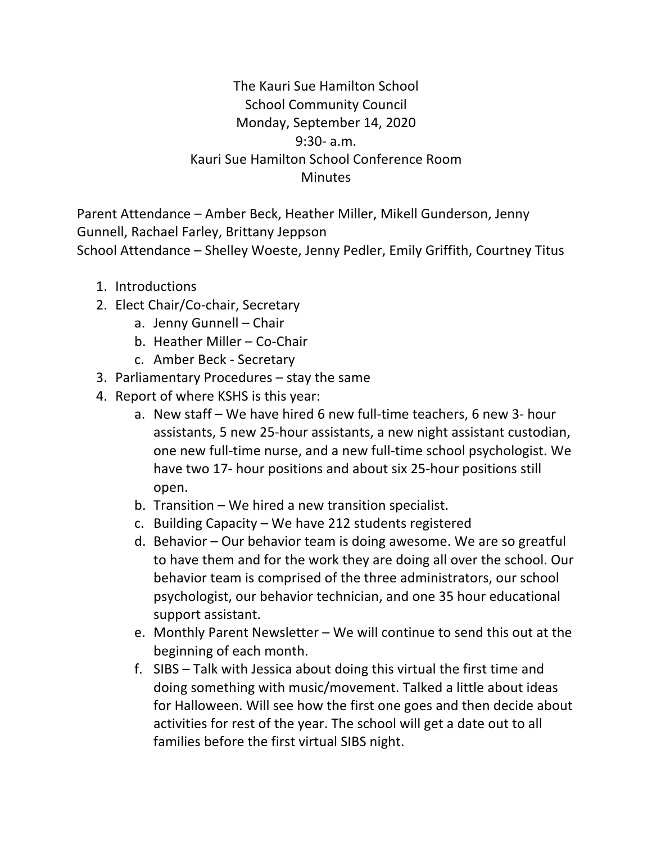## The Kauri Sue Hamilton School **School Community Council** Monday, September 14, 2020 9:30- a.m. Kauri Sue Hamilton School Conference Room **Minutes**

Parent Attendance – Amber Beck, Heather Miller, Mikell Gunderson, Jenny Gunnell, Rachael Farley, Brittany Jeppson School Attendance – Shelley Woeste, Jenny Pedler, Emily Griffith, Courtney Titus

- 1. Introductions
- 2. Elect Chair/Co-chair, Secretary
	- a. Jenny Gunnell Chair
	- b. Heather Miller Co-Chair
	- c. Amber Beck Secretary
- 3. Parliamentary Procedures  $-$  stay the same
- 4. Report of where KSHS is this year:
	- a. New staff We have hired 6 new full-time teachers, 6 new 3- hour assistants, 5 new 25-hour assistants, a new night assistant custodian, one new full-time nurse, and a new full-time school psychologist. We have two 17- hour positions and about six 25-hour positions still open.
	- b. Transition  $-$  We hired a new transition specialist.
	- c. Building Capacity We have 212 students registered
	- d. Behavior  $-$  Our behavior team is doing awesome. We are so greatful to have them and for the work they are doing all over the school. Our behavior team is comprised of the three administrators, our school psychologist, our behavior technician, and one 35 hour educational support assistant.
	- e. Monthly Parent Newsletter We will continue to send this out at the beginning of each month.
	- f. SIBS Talk with Jessica about doing this virtual the first time and doing something with music/movement. Talked a little about ideas for Halloween. Will see how the first one goes and then decide about activities for rest of the year. The school will get a date out to all families before the first virtual SIBS night.